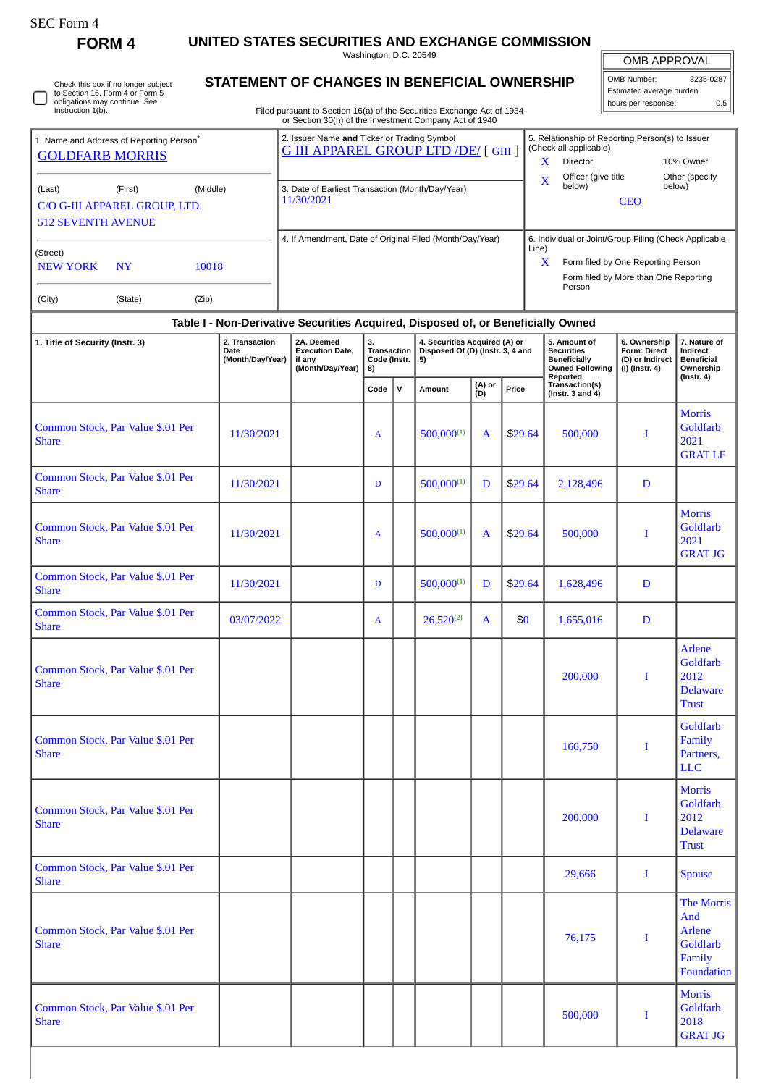| SEC Form |
|----------|
|----------|

**FORM 4 UNITED STATES SECURITIES AND EXCHANGE COMMISSION**

Washington, D.C. 20549

| OMB APPROVAL |
|--------------|
|              |

| OMB APPROVAL             |           |  |  |  |  |  |  |  |  |  |
|--------------------------|-----------|--|--|--|--|--|--|--|--|--|
| OMB Number:              | 3235-0287 |  |  |  |  |  |  |  |  |  |
| Estimated average burden |           |  |  |  |  |  |  |  |  |  |
| hours per response:      |           |  |  |  |  |  |  |  |  |  |

Check this box if no longer subject to Section 16. Form 4 or Form 5 obligations may continue. *See* Instruction 1(b). 0

## **STATEMENT OF CHANGES IN BENEFICIAL OWNERSHIP**

Filed pursuant to Section 16(a) of the Securities Exchange Act of 1934 or Section 30(h) of the Investment Company Act of 1940

| 1. Name and Address of Reporting Person <sup>®</sup>                 |                                                                                  |          | 2. Issuer Name and Ticker or Trading Symbol<br><b>G III APPAREL GROUP LTD /DE/ [GIII ]</b> | 5. Relationship of Reporting Person(s) to Issuer<br>(Check all applicable) |                                                       |                          |  |  |  |  |  |
|----------------------------------------------------------------------|----------------------------------------------------------------------------------|----------|--------------------------------------------------------------------------------------------|----------------------------------------------------------------------------|-------------------------------------------------------|--------------------------|--|--|--|--|--|
| <b>GOLDFARB MORRIS</b>                                               |                                                                                  |          |                                                                                            | x                                                                          | <b>Director</b>                                       | 10% Owner                |  |  |  |  |  |
| (Last)<br>C/O G-III APPAREL GROUP, LTD.<br><b>512 SEVENTH AVENUE</b> | (First)                                                                          | (Middle) | 3. Date of Earliest Transaction (Month/Day/Year)<br>11/30/2021                             | X                                                                          | Officer (give title<br>below)<br><b>CEO</b>           | Other (specify<br>below) |  |  |  |  |  |
|                                                                      |                                                                                  |          | 4. If Amendment, Date of Original Filed (Month/Day/Year)                                   | Line)                                                                      | 6. Individual or Joint/Group Filing (Check Applicable |                          |  |  |  |  |  |
| (Street)<br>NEW YORK                                                 | <b>NY</b>                                                                        | 10018    |                                                                                            | $\mathbf x$                                                                | Form filed by One Reporting Person                    |                          |  |  |  |  |  |
| (City)                                                               | (State)                                                                          | (Zip)    |                                                                                            |                                                                            | Form filed by More than One Reporting<br>Person       |                          |  |  |  |  |  |
|                                                                      | Table I - Non-Derivative Securities Acquired, Disposed of, or Beneficially Owned |          |                                                                                            |                                                                            |                                                       |                          |  |  |  |  |  |

| 1. Title of Security (Instr. 3)                   | 2. Transaction<br>Date<br>(Month/Day/Year) | 2A. Deemed<br><b>Execution Date,</b><br>if any<br>(Month/Day/Year) | 3.<br>Transaction<br>Code (Instr.<br>8) |              | 4. Securities Acquired (A) or<br>Disposed Of (D) (Instr. 3, 4 and<br>5) |               |         | 5. Amount of<br><b>Securities</b><br><b>Beneficially</b><br><b>Owned Following</b> | 6. Ownership<br>Form: Direct<br>(D) or Indirect<br>(I) (Instr. 4) | 7. Nature of<br>Indirect<br><b>Beneficial</b><br>Ownership           |  |
|---------------------------------------------------|--------------------------------------------|--------------------------------------------------------------------|-----------------------------------------|--------------|-------------------------------------------------------------------------|---------------|---------|------------------------------------------------------------------------------------|-------------------------------------------------------------------|----------------------------------------------------------------------|--|
|                                                   |                                            |                                                                    | Code                                    | $\mathsf{v}$ | Amount                                                                  | (A) or<br>(D) | Price   | Reported<br>Transaction(s)<br>(Instr. 3 and $4$ )                                  |                                                                   | (Instr. 4)                                                           |  |
| Common Stock, Par Value \$.01 Per<br><b>Share</b> | 11/30/2021                                 |                                                                    | A                                       |              | $500,000^{(1)}$                                                         | A             | \$29.64 | 500,000                                                                            | I                                                                 | <b>Morris</b><br>Goldfarb<br>2021<br><b>GRAT LF</b>                  |  |
| Common Stock, Par Value \$.01 Per<br><b>Share</b> | 11/30/2021                                 |                                                                    | D                                       |              | $500,000^{(1)}$                                                         | D             | \$29.64 | 2,128,496                                                                          | $\mathbf D$                                                       |                                                                      |  |
| Common Stock, Par Value \$.01 Per<br><b>Share</b> | 11/30/2021                                 |                                                                    | $\mathbf{A}$                            |              | $500,000^{(1)}$                                                         | $\mathbf{A}$  | \$29.64 | 500,000                                                                            | I                                                                 | <b>Morris</b><br>Goldfarb<br>2021<br><b>GRAT JG</b>                  |  |
| Common Stock, Par Value \$.01 Per<br><b>Share</b> | 11/30/2021                                 |                                                                    | D                                       |              | $500,000^{(1)}$                                                         | D             | \$29.64 | 1,628,496                                                                          | D                                                                 |                                                                      |  |
| Common Stock, Par Value \$.01 Per<br><b>Share</b> | 03/07/2022                                 |                                                                    | $\mathbf{A}$                            |              | $26,520^{(2)}$                                                          | A             | \$0     | 1,655,016                                                                          | $\mathbf D$                                                       |                                                                      |  |
| Common Stock, Par Value \$.01 Per<br><b>Share</b> |                                            |                                                                    |                                         |              |                                                                         |               |         | 200,000                                                                            | I                                                                 | <b>Arlene</b><br>Goldfarb<br>2012<br><b>Delaware</b><br><b>Trust</b> |  |
| Common Stock, Par Value \$.01 Per<br><b>Share</b> |                                            |                                                                    |                                         |              |                                                                         |               |         | 166,750                                                                            | I                                                                 | Goldfarb<br>Family<br>Partners,<br><b>LLC</b>                        |  |
| Common Stock, Par Value \$.01 Per<br><b>Share</b> |                                            |                                                                    |                                         |              |                                                                         |               |         | 200,000                                                                            | I                                                                 | <b>Morris</b><br>Goldfarb<br>2012<br><b>Delaware</b><br><b>Trust</b> |  |
| Common Stock, Par Value \$.01 Per<br><b>Share</b> |                                            |                                                                    |                                         |              |                                                                         |               |         | 29,666                                                                             | Ι.                                                                | <b>Spouse</b>                                                        |  |
| Common Stock, Par Value \$.01 Per<br><b>Share</b> |                                            |                                                                    |                                         |              |                                                                         |               |         | 76,175                                                                             | $\bf{I}$                                                          | The Morris<br>And<br>Arlene<br>Goldfarb<br>Family<br>Foundation      |  |
| Common Stock, Par Value \$.01 Per<br><b>Share</b> |                                            |                                                                    |                                         |              |                                                                         |               |         | 500,000                                                                            | $\bf{I}$                                                          | <b>Morris</b><br>Goldfarb<br>2018<br><b>GRAT JG</b>                  |  |